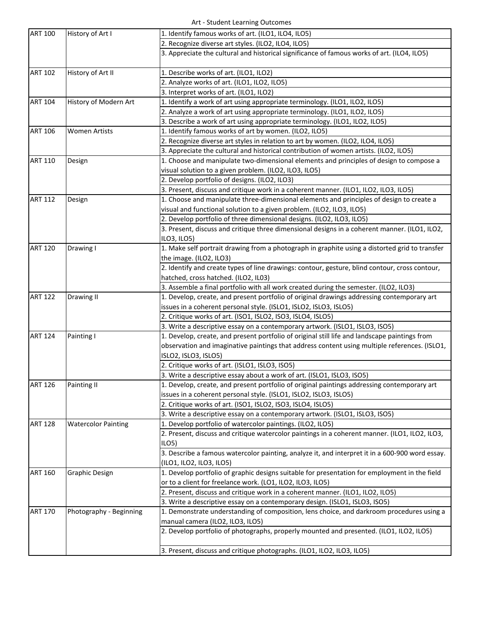Art ‐ Student Learning Outcomes

|                |                            | are beautine Learning battonnes                                                                 |
|----------------|----------------------------|-------------------------------------------------------------------------------------------------|
| <b>ART 100</b> | History of Art I           | 1. Identify famous works of art. (ILO1, ILO4, ILO5)                                             |
|                |                            | 2. Recognize diverse art styles. (ILO2, ILO4, ILO5)                                             |
|                |                            | 3. Appreciate the cultural and historical significance of famous works of art. (ILO4, ILO5)     |
| <b>ART 102</b> | History of Art II          | 1. Describe works of art. (ILO1, ILO2)                                                          |
|                |                            | 2. Analyze works of art. (ILO1, ILO2, ILO5)                                                     |
|                |                            | 3. Interpret works of art. (ILO1, ILO2)                                                         |
| <b>ART 104</b> | History of Modern Art      | 1. Identify a work of art using appropriate terminology. (ILO1, ILO2, ILO5)                     |
|                |                            | 2. Analyze a work of art using appropriate terminology. (ILO1, ILO2, ILO5)                      |
|                |                            | 3. Describe a work of art using appropriate terminology. (ILO1, ILO2, ILO5)                     |
| <b>ART 106</b> | <b>Women Artists</b>       | 1. Identify famous works of art by women. (ILO2, ILO5)                                          |
|                |                            | 2. Recognize diverse art styles in relation to art by women. (ILO2, ILO4, ILO5)                 |
|                |                            | 3. Appreciate the cultural and historical contribution of women artists. (ILO2, ILO5)           |
| <b>ART 110</b> | Design                     | 1. Choose and manipulate two-dimensional elements and principles of design to compose a         |
|                |                            | visual solution to a given problem. (ILO2, ILO3, ILO5)                                          |
|                |                            | 2. Develop portfolio of designs. (ILO2, ILO3)                                                   |
|                |                            | 3. Present, discuss and critique work in a coherent manner. (ILO1, ILO2, ILO3, ILO5)            |
| <b>ART 112</b> | Design                     | 1. Choose and manipulate three-dimensional elements and principles of design to create a        |
|                |                            | visual and functional solution to a given problem. (ILO2, ILO3, ILO5)                           |
|                |                            | 2. Develop portfolio of three dimensional designs. (ILO2, ILO3, ILO5)                           |
|                |                            | 3. Present, discuss and critique three dimensional designs in a coherent manner. (ILO1, ILO2,   |
|                |                            | ILO3, ILO5)                                                                                     |
| <b>ART 120</b> | Drawing I                  | 1. Make self portrait drawing from a photograph in graphite using a distorted grid to transfer  |
|                |                            | the image. (ILO2, ILO3)                                                                         |
|                |                            | 2. Identify and create types of line drawings: contour, gesture, blind contour, cross contour,  |
|                |                            | hatched, cross hatched. (ILO2, IL03)                                                            |
|                |                            | 3. Assemble a final portfolio with all work created during the semester. (ILO2, ILO3)           |
| <b>ART 122</b> | Drawing II                 | 1. Develop, create, and present portfolio of original drawings addressing contemporary art      |
|                |                            | issues in a coherent personal style. (ISLO1, ISLO2, ISLO3, ISLO5)                               |
|                |                            | 2. Critique works of art. (ISO1, ISLO2, ISO3, ISLO4, ISLO5)                                     |
|                |                            | 3. Write a descriptive essay on a contemporary artwork. (ISLO1, ISLO3, ISO5)                    |
| <b>ART 124</b> | Painting I                 | 1. Develop, create, and present portfolio of original still life and landscape paintings from   |
|                |                            | observation and imaginative paintings that address content using multiple references. (ISLO1,   |
|                |                            | ISLO2, ISLO3, ISLO5)                                                                            |
|                |                            | 2. Critique works of art. (ISLO1, ISLO3, ISO5)                                                  |
|                |                            | 3. Write a descriptive essay about a work of art. (ISLO1, ISLO3, ISO5)                          |
| <b>ART 126</b> | Painting II                | 1. Develop, create, and present portfolio of original paintings addressing contemporary art     |
|                |                            | issues in a coherent personal style. (ISLO1, ISLO2, ISLO3, ISLO5)                               |
|                |                            | 2. Critique works of art. (ISO1, ISLO2, ISO3, ISLO4, ISLO5)                                     |
|                |                            | 3. Write a descriptive essay on a contemporary artwork. (ISLO1, ISLO3, ISO5)                    |
| <b>ART 128</b> | <b>Watercolor Painting</b> | 1. Develop portfolio of watercolor paintings. (ILO2, ILO5)                                      |
|                |                            | 2. Present, discuss and critique watercolor paintings in a coherent manner. (ILO1, ILO2, ILO3,  |
|                |                            | ILO <sub>5</sub>                                                                                |
|                |                            | 3. Describe a famous watercolor painting, analyze it, and interpret it in a 600-900 word essay. |
|                |                            | (ILO1, ILO2, ILO3, ILO5)                                                                        |
| <b>ART 160</b> | <b>Graphic Design</b>      | 1. Develop portfolio of graphic designs suitable for presentation for employment in the field   |
|                |                            | or to a client for freelance work. (LO1, ILO2, ILO3, ILO5)                                      |
|                |                            | 2. Present, discuss and critique work in a coherent manner. (ILO1, ILO2, ILO5)                  |
|                |                            | 3. Write a descriptive essay on a contemporary design. (ISLO1, ISLO3, ISO5)                     |
| <b>ART 170</b> | Photography - Beginning    | 1. Demonstrate understanding of composition, lens choice, and darkroom procedures using a       |
|                |                            | manual camera (ILO2, ILO3, ILO5)                                                                |
|                |                            | 2. Develop portfolio of photographs, properly mounted and presented. (ILO1, ILO2, ILO5)         |
|                |                            | 3. Present, discuss and critique photographs. (ILO1, ILO2, ILO3, ILO5)                          |